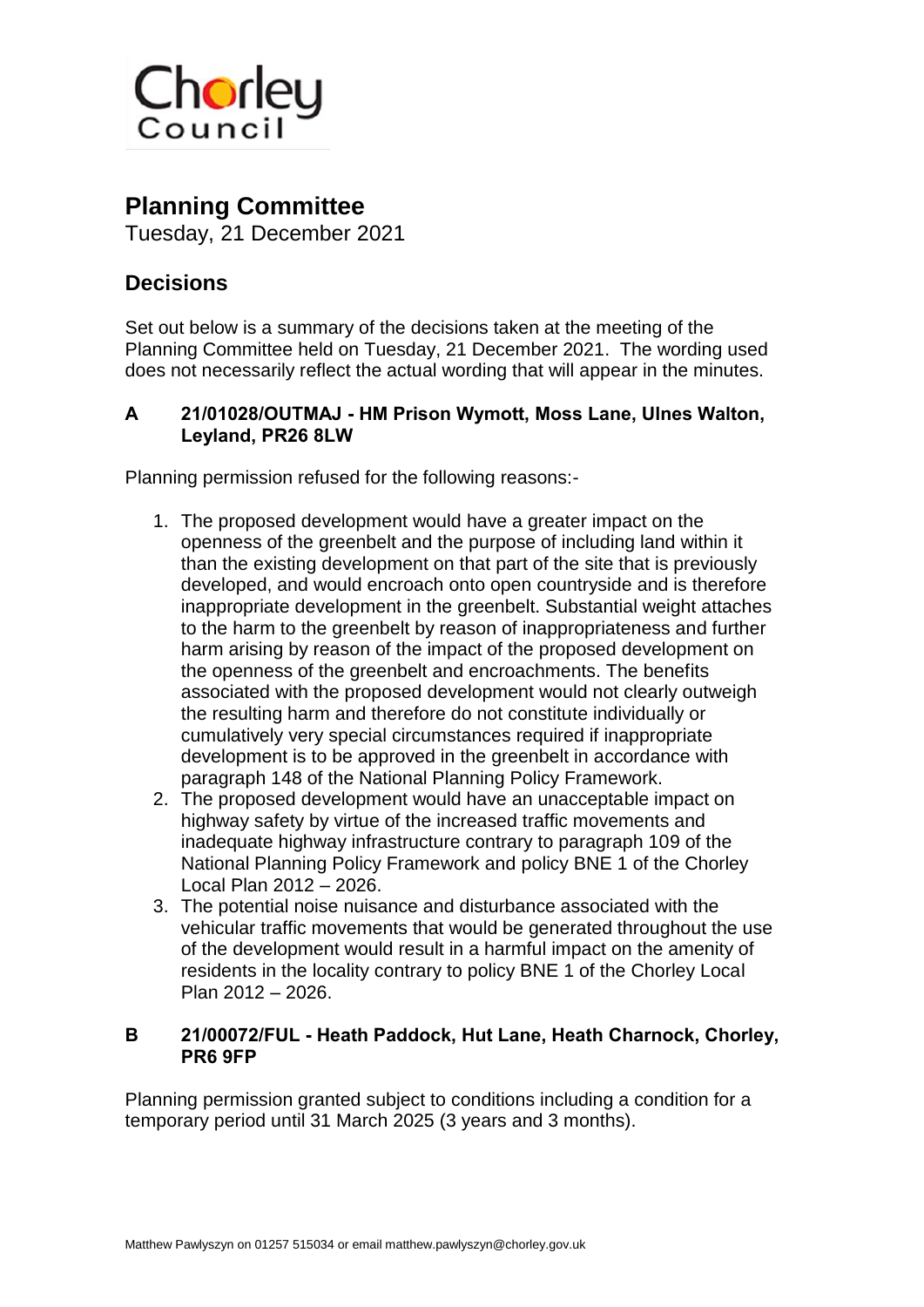

## **Planning Committee**

Tuesday, 21 December 2021

## **Decisions**

Set out below is a summary of the decisions taken at the meeting of the Planning Committee held on Tuesday, 21 December 2021. The wording used does not necessarily reflect the actual wording that will appear in the minutes.

## **A 21/01028/OUTMAJ - HM Prison Wymott, Moss Lane, Ulnes Walton, Leyland, PR26 8LW**

Planning permission refused for the following reasons:-

- 1. The proposed development would have a greater impact on the openness of the greenbelt and the purpose of including land within it than the existing development on that part of the site that is previously developed, and would encroach onto open countryside and is therefore inappropriate development in the greenbelt. Substantial weight attaches to the harm to the greenbelt by reason of inappropriateness and further harm arising by reason of the impact of the proposed development on the openness of the greenbelt and encroachments. The benefits associated with the proposed development would not clearly outweigh the resulting harm and therefore do not constitute individually or cumulatively very special circumstances required if inappropriate development is to be approved in the greenbelt in accordance with paragraph 148 of the National Planning Policy Framework.
- 2. The proposed development would have an unacceptable impact on highway safety by virtue of the increased traffic movements and inadequate highway infrastructure contrary to paragraph 109 of the National Planning Policy Framework and policy BNE 1 of the Chorley Local Plan 2012 – 2026.
- 3. The potential noise nuisance and disturbance associated with the vehicular traffic movements that would be generated throughout the use of the development would result in a harmful impact on the amenity of residents in the locality contrary to policy BNE 1 of the Chorley Local Plan 2012 – 2026.

## **B 21/00072/FUL - Heath Paddock, Hut Lane, Heath Charnock, Chorley, PR6 9FP**

Planning permission granted subject to conditions including a condition for a temporary period until 31 March 2025 (3 years and 3 months).